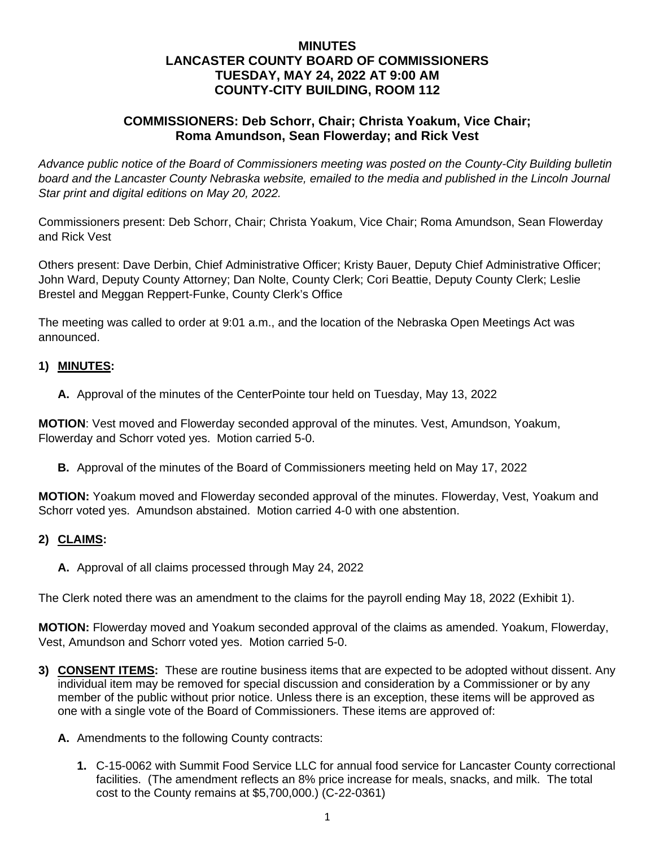### **MINUTES LANCASTER COUNTY BOARD OF COMMISSIONERS TUESDAY, MAY 24, 2022 AT 9:00 AM COUNTY-CITY BUILDING, ROOM 112**

### **COMMISSIONERS: Deb Schorr, Chair; Christa Yoakum, Vice Chair; Roma Amundson, Sean Flowerday; and Rick Vest**

*Advance public notice of the Board of Commissioners meeting was posted on the County-City Building bulletin*  board and the Lancaster County Nebraska website, emailed to the media and published in the Lincoln Journal *Star print and digital editions on May 20, 2022.*

Commissioners present: Deb Schorr, Chair; Christa Yoakum, Vice Chair; Roma Amundson, Sean Flowerday and Rick Vest

Others present: Dave Derbin, Chief Administrative Officer; Kristy Bauer, Deputy Chief Administrative Officer; John Ward, Deputy County Attorney; Dan Nolte, County Clerk; Cori Beattie, Deputy County Clerk; Leslie Brestel and Meggan Reppert-Funke, County Clerk's Office

The meeting was called to order at 9:01 a.m., and the location of the Nebraska Open Meetings Act was announced.

#### **1) MINUTES:**

**A.** Approval of the minutes of the CenterPointe tour held on Tuesday, May 13, 2022

**MOTION**: Vest moved and Flowerday seconded approval of the minutes. Vest, Amundson, Yoakum, Flowerday and Schorr voted yes. Motion carried 5-0.

**B.** Approval of the minutes of the Board of Commissioners meeting held on May 17, 2022

**MOTION:** Yoakum moved and Flowerday seconded approval of the minutes. Flowerday, Vest, Yoakum and Schorr voted yes. Amundson abstained. Motion carried 4-0 with one abstention.

#### **2) CLAIMS:**

**A.** Approval of all claims processed through May 24, 2022

The Clerk noted there was an amendment to the claims for the payroll ending May 18, 2022 (Exhibit 1).

**MOTION:** Flowerday moved and Yoakum seconded approval of the claims as amended. Yoakum, Flowerday, Vest, Amundson and Schorr voted yes. Motion carried 5-0.

- **3) CONSENT ITEMS:** These are routine business items that are expected to be adopted without dissent. Any individual item may be removed for special discussion and consideration by a Commissioner or by any member of the public without prior notice. Unless there is an exception, these items will be approved as one with a single vote of the Board of Commissioners. These items are approved of:
	- **A.** Amendments to the following County contracts:
		- **1.** C-15-0062 with Summit Food Service LLC for annual food service for Lancaster County correctional facilities. (The amendment reflects an 8% price increase for meals, snacks, and milk. The total cost to the County remains at \$5,700,000.) (C-22-0361)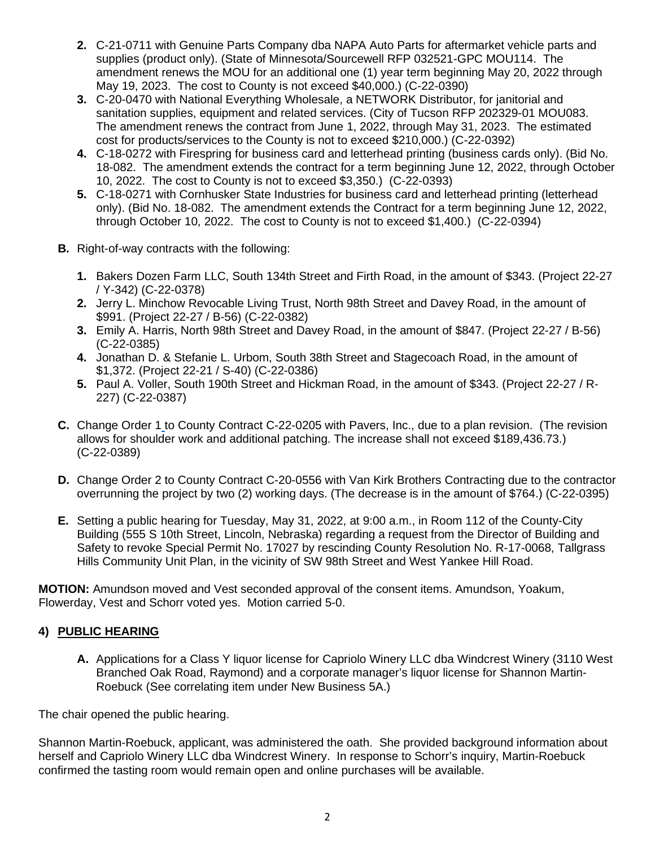- **2.** C-21-0711 with Genuine Parts Company dba NAPA Auto Parts for aftermarket vehicle parts and supplies (product only). (State of Minnesota/Sourcewell RFP 032521-GPC MOU114. The amendment renews the MOU for an additional one (1) year term beginning May 20, 2022 through May 19, 2023. The cost to County is not exceed \$40,000.) (C-22-0390)
- **3.** C-20-0470 with National Everything Wholesale, a NETWORK Distributor, for janitorial and sanitation supplies, equipment and related services. (City of Tucson RFP 202329-01 MOU083. The amendment renews the contract from June 1, 2022, through May 31, 2023. The estimated cost for products/services to the County is not to exceed \$210,000.) (C-22-0392)
- **4.** C-18-0272 with Firespring for business card and letterhead printing (business cards only). (Bid No. 18-082. The amendment extends the contract for a term beginning June 12, 2022, through October 10, 2022. The cost to County is not to exceed \$3,350.) (C-22-0393)
- **5.** C-18-0271 with Cornhusker State Industries for business card and letterhead printing (letterhead only). (Bid No. 18-082. The amendment extends the Contract for a term beginning June 12, 2022, through October 10, 2022. The cost to County is not to exceed \$1,400.) (C-22-0394)
- **B.** Right-of-way contracts with the following:
	- **1.** Bakers Dozen Farm LLC, South 134th Street and Firth Road, in the amount of \$343. (Project 22-27 / Y-342) (C-22-0378)
	- **2.** Jerry L. Minchow Revocable Living Trust, North 98th Street and Davey Road, in the amount of \$991. (Project 22-27 / B-56) (C-22-0382)
	- **3.** Emily A. Harris, North 98th Street and Davey Road, in the amount of \$847. (Project 22-27 / B-56) (C-22-0385)
	- **4.** Jonathan D. & Stefanie L. Urbom, South 38th Street and Stagecoach Road, in the amount of \$1,372. (Project 22-21 / S-40) (C-22-0386)
	- **5.** Paul A. Voller, South 190th Street and Hickman Road, in the amount of \$343. (Project 22-27 / R-227) (C-22-0387)
- **C.** Change Order 1 to County Contract C-22-0205 with Pavers, Inc., due to a plan revision. (The revision allows for shoulder work and additional patching. The increase shall not exceed \$189,436.73.) (C-22-0389)
- **D.** Change Order 2 to County Contract C-20-0556 with Van Kirk Brothers Contracting due to the contractor overrunning the project by two (2) working days. (The decrease is in the amount of \$764.) (C-22-0395)
- **E.** Setting a public hearing for Tuesday, May 31, 2022, at 9:00 a.m., in Room 112 of the County-City Building (555 S 10th Street, Lincoln, Nebraska) regarding a request from the Director of Building and Safety to revoke Special Permit No. 17027 by rescinding County Resolution No. R-17-0068, Tallgrass Hills Community Unit Plan, in the vicinity of SW 98th Street and West Yankee Hill Road.

**MOTION:** Amundson moved and Vest seconded approval of the consent items. Amundson, Yoakum, Flowerday, Vest and Schorr voted yes. Motion carried 5-0.

## **4) PUBLIC HEARING**

**A.** Applications for a Class Y liquor license for Capriolo Winery LLC dba Windcrest Winery (3110 West Branched Oak Road, Raymond) and a corporate manager's liquor license for Shannon Martin-Roebuck (See correlating item under New Business 5A.)

The chair opened the public hearing.

Shannon Martin-Roebuck, applicant, was administered the oath. She provided background information about herself and Capriolo Winery LLC dba Windcrest Winery. In response to Schorr's inquiry, Martin-Roebuck confirmed the tasting room would remain open and online purchases will be available.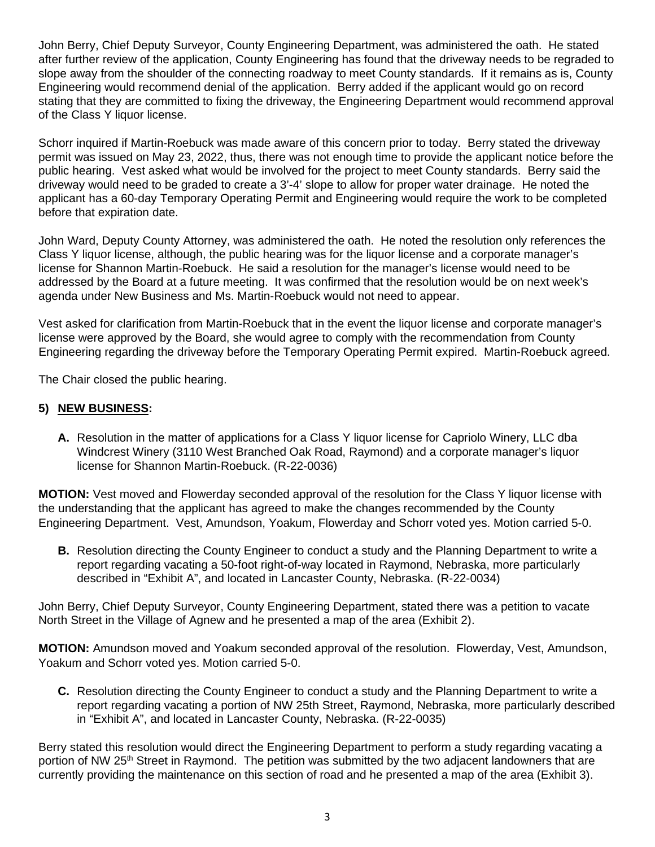John Berry, Chief Deputy Surveyor, County Engineering Department, was administered the oath. He stated after further review of the application, County Engineering has found that the driveway needs to be regraded to slope away from the shoulder of the connecting roadway to meet County standards. If it remains as is, County Engineering would recommend denial of the application. Berry added if the applicant would go on record stating that they are committed to fixing the driveway, the Engineering Department would recommend approval of the Class Y liquor license.

Schorr inquired if Martin-Roebuck was made aware of this concern prior to today. Berry stated the driveway permit was issued on May 23, 2022, thus, there was not enough time to provide the applicant notice before the public hearing. Vest asked what would be involved for the project to meet County standards. Berry said the driveway would need to be graded to create a 3'-4' slope to allow for proper water drainage. He noted the applicant has a 60-day Temporary Operating Permit and Engineering would require the work to be completed before that expiration date.

John Ward, Deputy County Attorney, was administered the oath. He noted the resolution only references the Class Y liquor license, although, the public hearing was for the liquor license and a corporate manager's license for Shannon Martin-Roebuck. He said a resolution for the manager's license would need to be addressed by the Board at a future meeting. It was confirmed that the resolution would be on next week's agenda under New Business and Ms. Martin-Roebuck would not need to appear.

Vest asked for clarification from Martin-Roebuck that in the event the liquor license and corporate manager's license were approved by the Board, she would agree to comply with the recommendation from County Engineering regarding the driveway before the Temporary Operating Permit expired. Martin-Roebuck agreed.

The Chair closed the public hearing.

## **5) NEW BUSINESS:**

**A.** Resolution in the matter of applications for a Class Y liquor license for Capriolo Winery, LLC dba Windcrest Winery (3110 West Branched Oak Road, Raymond) and a corporate manager's liquor license for Shannon Martin-Roebuck. (R-22-0036)

**MOTION:** Vest moved and Flowerday seconded approval of the resolution for the Class Y liquor license with the understanding that the applicant has agreed to make the changes recommended by the County Engineering Department. Vest, Amundson, Yoakum, Flowerday and Schorr voted yes. Motion carried 5-0.

**B.** Resolution directing the County Engineer to conduct a study and the Planning Department to write a report regarding vacating a 50-foot right-of-way located in Raymond, Nebraska, more particularly described in "Exhibit A", and located in Lancaster County, Nebraska. (R-22-0034)

John Berry, Chief Deputy Surveyor, County Engineering Department, stated there was a petition to vacate North Street in the Village of Agnew and he presented a map of the area (Exhibit 2).

**MOTION:** Amundson moved and Yoakum seconded approval of the resolution. Flowerday, Vest, Amundson, Yoakum and Schorr voted yes. Motion carried 5-0.

**C.** Resolution directing the County Engineer to conduct a study and the Planning Department to write a report regarding vacating a portion of NW 25th Street, Raymond, Nebraska, more particularly described in "Exhibit A", and located in Lancaster County, Nebraska. (R-22-0035)

Berry stated this resolution would direct the Engineering Department to perform a study regarding vacating a portion of NW 25<sup>th</sup> Street in Raymond. The petition was submitted by the two adjacent landowners that are currently providing the maintenance on this section of road and he presented a map of the area (Exhibit 3).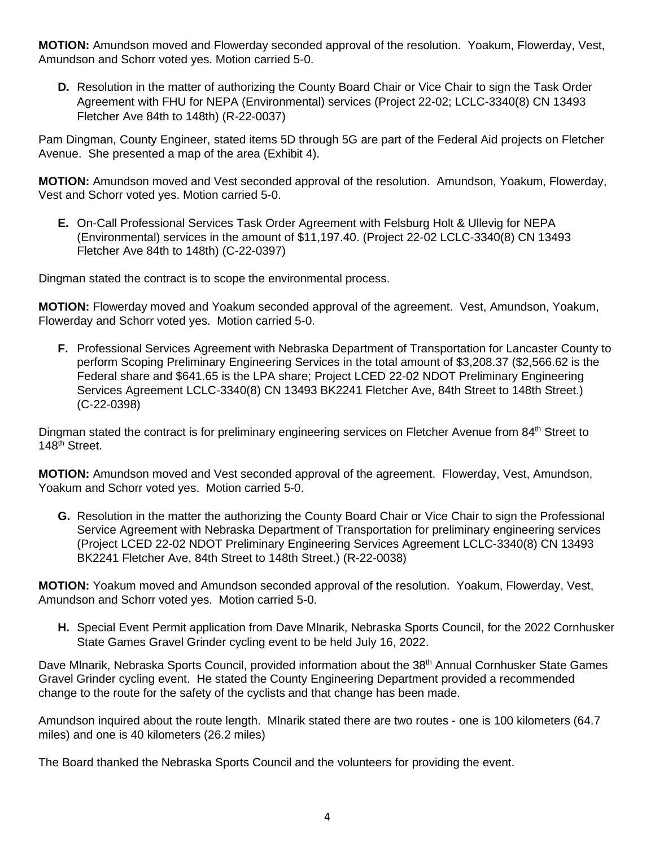**MOTION:** Amundson moved and Flowerday seconded approval of the resolution. Yoakum, Flowerday, Vest, Amundson and Schorr voted yes. Motion carried 5-0.

**D.** Resolution in the matter of authorizing the County Board Chair or Vice Chair to sign the Task Order Agreement with FHU for NEPA (Environmental) services (Project 22-02; LCLC-3340(8) CN 13493 Fletcher Ave 84th to 148th) (R-22-0037)

Pam Dingman, County Engineer, stated items 5D through 5G are part of the Federal Aid projects on Fletcher Avenue. She presented a map of the area (Exhibit 4).

**MOTION:** Amundson moved and Vest seconded approval of the resolution. Amundson, Yoakum, Flowerday, Vest and Schorr voted yes. Motion carried 5-0.

**E.** On-Call Professional Services Task Order Agreement with Felsburg Holt & Ullevig for NEPA (Environmental) services in the amount of \$11,197.40. (Project 22-02 LCLC-3340(8) CN 13493 Fletcher Ave 84th to 148th) (C-22-0397)

Dingman stated the contract is to scope the environmental process.

**MOTION:** Flowerday moved and Yoakum seconded approval of the agreement. Vest, Amundson, Yoakum, Flowerday and Schorr voted yes. Motion carried 5-0.

**F.** Professional Services Agreement with Nebraska Department of Transportation for Lancaster County to perform Scoping Preliminary Engineering Services in the total amount of \$3,208.37 (\$2,566.62 is the Federal share and \$641.65 is the LPA share; Project LCED 22-02 NDOT Preliminary Engineering Services Agreement LCLC-3340(8) CN 13493 BK2241 Fletcher Ave, 84th Street to 148th Street.) (C-22-0398)

Dingman stated the contract is for preliminary engineering services on Fletcher Avenue from 84<sup>th</sup> Street to 148<sup>th</sup> Street.

**MOTION:** Amundson moved and Vest seconded approval of the agreement. Flowerday, Vest, Amundson, Yoakum and Schorr voted yes. Motion carried 5-0.

**G.** Resolution in the matter the authorizing the County Board Chair or Vice Chair to sign the Professional Service Agreement with Nebraska Department of Transportation for preliminary engineering services (Project LCED 22-02 NDOT Preliminary Engineering Services Agreement LCLC-3340(8) CN 13493 BK2241 Fletcher Ave, 84th Street to 148th Street.) (R-22-0038)

**MOTION:** Yoakum moved and Amundson seconded approval of the resolution. Yoakum, Flowerday, Vest, Amundson and Schorr voted yes. Motion carried 5-0.

**H.** Special Event Permit application from Dave Mlnarik, Nebraska Sports Council, for the 2022 Cornhusker State Games Gravel Grinder cycling event to be held July 16, 2022.

Dave Mlnarik, Nebraska Sports Council, provided information about the 38<sup>th</sup> Annual Cornhusker State Games Gravel Grinder cycling event. He stated the County Engineering Department provided a recommended change to the route for the safety of the cyclists and that change has been made.

Amundson inquired about the route length. Mlnarik stated there are two routes - one is 100 kilometers (64.7 miles) and one is 40 kilometers (26.2 miles)

The Board thanked the Nebraska Sports Council and the volunteers for providing the event.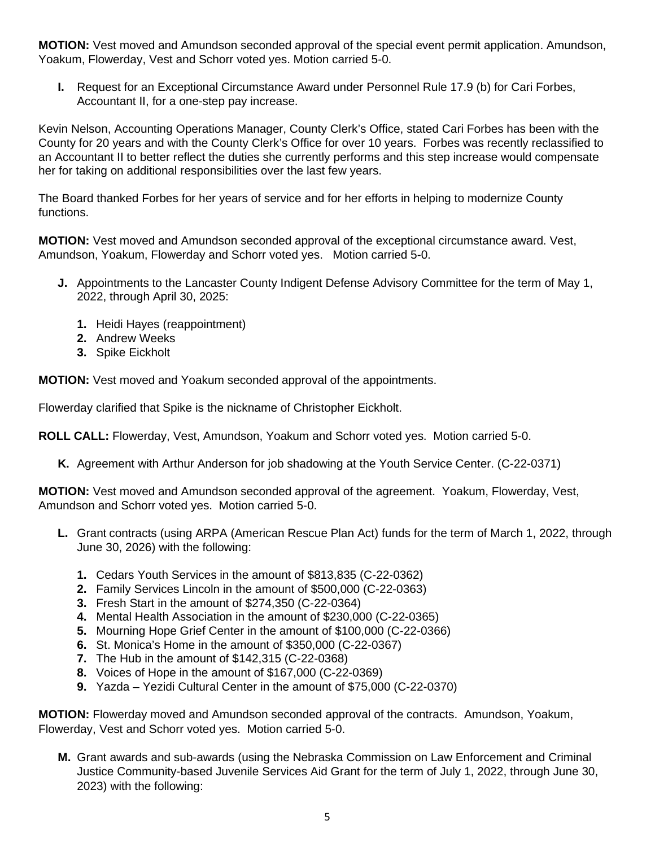**MOTION:** Vest moved and Amundson seconded approval of the special event permit application. Amundson, Yoakum, Flowerday, Vest and Schorr voted yes. Motion carried 5-0.

**I.** Request for an Exceptional Circumstance Award under Personnel Rule 17.9 (b) for Cari Forbes, Accountant II, for a one-step pay increase.

Kevin Nelson, Accounting Operations Manager, County Clerk's Office, stated Cari Forbes has been with the County for 20 years and with the County Clerk's Office for over 10 years. Forbes was recently reclassified to an Accountant II to better reflect the duties she currently performs and this step increase would compensate her for taking on additional responsibilities over the last few years.

The Board thanked Forbes for her years of service and for her efforts in helping to modernize County functions.

**MOTION:** Vest moved and Amundson seconded approval of the exceptional circumstance award. Vest, Amundson, Yoakum, Flowerday and Schorr voted yes. Motion carried 5-0.

- **J.** Appointments to the Lancaster County Indigent Defense Advisory Committee for the term of May 1, 2022, through April 30, 2025:
	- **1.** Heidi Hayes (reappointment)
	- **2.** Andrew Weeks
	- **3.** Spike Eickholt

**MOTION:** Vest moved and Yoakum seconded approval of the appointments.

Flowerday clarified that Spike is the nickname of Christopher Eickholt.

**ROLL CALL:** Flowerday, Vest, Amundson, Yoakum and Schorr voted yes. Motion carried 5-0.

**K.** Agreement with Arthur Anderson for job shadowing at the Youth Service Center. (C-22-0371)

**MOTION:** Vest moved and Amundson seconded approval of the agreement. Yoakum, Flowerday, Vest, Amundson and Schorr voted yes. Motion carried 5-0.

- **L.** Grant contracts (using ARPA (American Rescue Plan Act) funds for the term of March 1, 2022, through June 30, 2026) with the following:
	- **1.** Cedars Youth Services in the amount of \$813,835 (C-22-0362)
	- **2.** Family Services Lincoln in the amount of \$500,000 (C-22-0363)
	- **3.** Fresh Start in the amount of \$274,350 (C-22-0364)
	- **4.** Mental Health Association in the amount of \$230,000 (C-22-0365)
	- **5.** Mourning Hope Grief Center in the amount of \$100,000 (C-22-0366)
	- **6.** St. Monica's Home in the amount of \$350,000 (C-22-0367)
	- **7.** The Hub in the amount of \$142,315 (C-22-0368)
	- **8.** Voices of Hope in the amount of \$167,000 (C-22-0369)
	- **9.** Yazda Yezidi Cultural Center in the amount of \$75,000 (C-22-0370)

**MOTION:** Flowerday moved and Amundson seconded approval of the contracts. Amundson, Yoakum, Flowerday, Vest and Schorr voted yes. Motion carried 5-0.

**M.** Grant awards and sub-awards (using the Nebraska Commission on Law Enforcement and Criminal Justice Community-based Juvenile Services Aid Grant for the term of July 1, 2022, through June 30, 2023) with the following: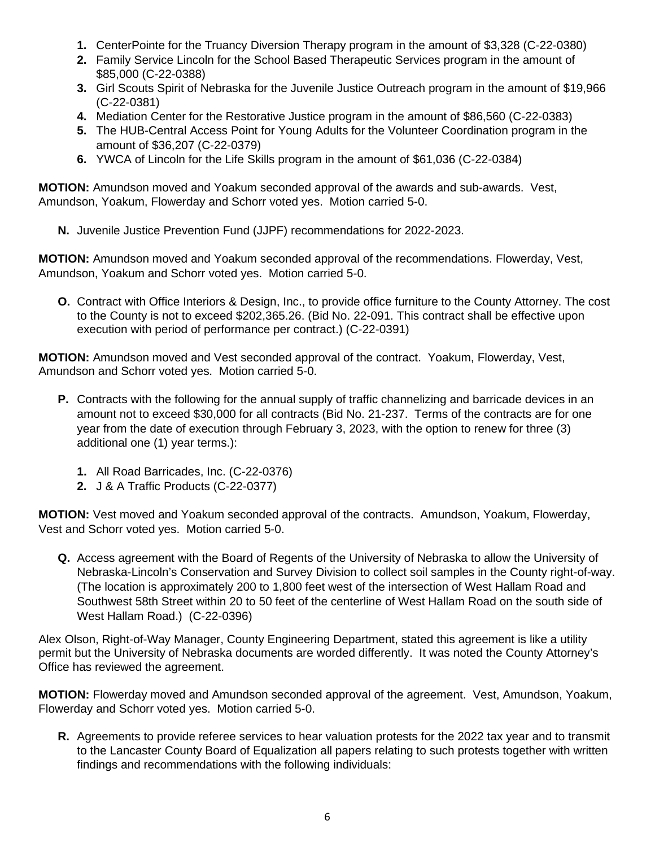- **1.** CenterPointe for the Truancy Diversion Therapy program in the amount of \$3,328 (C-22-0380)
- **2.** Family Service Lincoln for the School Based Therapeutic Services program in the amount of \$85,000 (C-22-0388)
- **3.** Girl Scouts Spirit of Nebraska for the Juvenile Justice Outreach program in the amount of \$19,966 (C-22-0381)
- **4.** Mediation Center for the Restorative Justice program in the amount of \$86,560 (C-22-0383)
- **5.** The HUB-Central Access Point for Young Adults for the Volunteer Coordination program in the amount of \$36,207 (C-22-0379)
- **6.** YWCA of Lincoln for the Life Skills program in the amount of \$61,036 (C-22-0384)

**MOTION:** Amundson moved and Yoakum seconded approval of the awards and sub-awards. Vest, Amundson, Yoakum, Flowerday and Schorr voted yes. Motion carried 5-0.

**N.** Juvenile Justice Prevention Fund (JJPF) recommendations for 2022-2023.

**MOTION:** Amundson moved and Yoakum seconded approval of the recommendations. Flowerday, Vest, Amundson, Yoakum and Schorr voted yes. Motion carried 5-0.

**O.** Contract with Office Interiors & Design, Inc., to provide office furniture to the County Attorney. The cost to the County is not to exceed \$202,365.26. (Bid No. 22-091. This contract shall be effective upon execution with period of performance per contract.) (C-22-0391)

**MOTION:** Amundson moved and Vest seconded approval of the contract. Yoakum, Flowerday, Vest, Amundson and Schorr voted yes. Motion carried 5-0.

- **P.** Contracts with the following for the annual supply of traffic channelizing and barricade devices in an amount not to exceed \$30,000 for all contracts (Bid No. 21-237. Terms of the contracts are for one year from the date of execution through February 3, 2023, with the option to renew for three (3) additional one (1) year terms.):
	- **1.** All Road Barricades, Inc. (C-22-0376)
	- **2.** J & A Traffic Products (C-22-0377)

**MOTION:** Vest moved and Yoakum seconded approval of the contracts. Amundson, Yoakum, Flowerday, Vest and Schorr voted yes. Motion carried 5-0.

**Q.** Access agreement with the Board of Regents of the University of Nebraska to allow the University of Nebraska-Lincoln's Conservation and Survey Division to collect soil samples in the County right-of-way. (The location is approximately 200 to 1,800 feet west of the intersection of West Hallam Road and Southwest 58th Street within 20 to 50 feet of the centerline of West Hallam Road on the south side of West Hallam Road.) (C-22-0396)

Alex Olson, Right-of-Way Manager, County Engineering Department, stated this agreement is like a utility permit but the University of Nebraska documents are worded differently. It was noted the County Attorney's Office has reviewed the agreement.

**MOTION:** Flowerday moved and Amundson seconded approval of the agreement. Vest, Amundson, Yoakum, Flowerday and Schorr voted yes. Motion carried 5-0.

**R.** Agreements to provide referee services to hear valuation protests for the 2022 tax year and to transmit to the Lancaster County Board of Equalization all papers relating to such protests together with written findings and recommendations with the following individuals: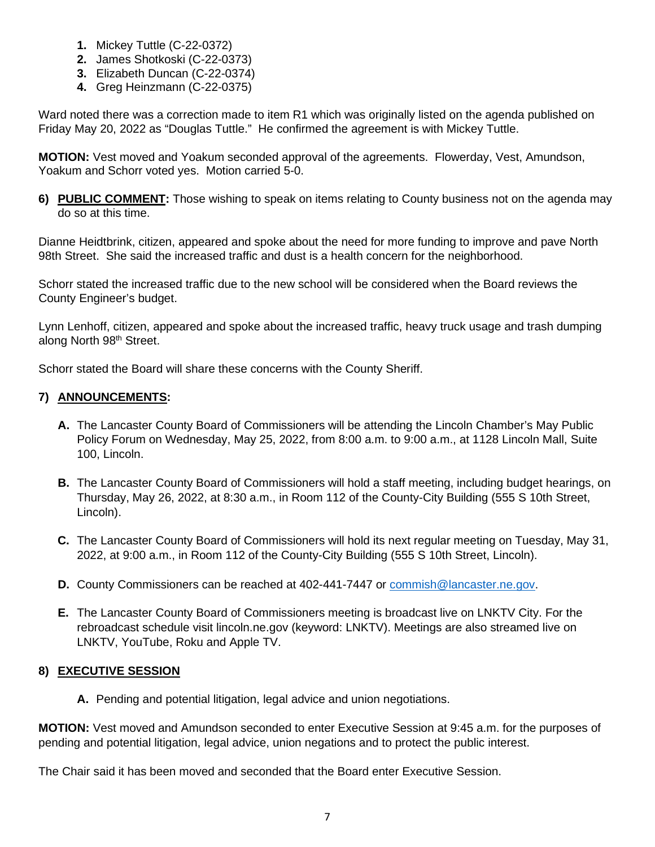- **1.** Mickey Tuttle (C-22-0372)
- **2.** James Shotkoski (C-22-0373)
- **3.** Elizabeth Duncan (C-22-0374)
- **4.** Greg Heinzmann (C-22-0375)

Ward noted there was a correction made to item R1 which was originally listed on the agenda published on Friday May 20, 2022 as "Douglas Tuttle." He confirmed the agreement is with Mickey Tuttle.

**MOTION:** Vest moved and Yoakum seconded approval of the agreements. Flowerday, Vest, Amundson, Yoakum and Schorr voted yes. Motion carried 5-0.

**6) PUBLIC COMMENT:** Those wishing to speak on items relating to County business not on the agenda may do so at this time.

Dianne Heidtbrink, citizen, appeared and spoke about the need for more funding to improve and pave North 98th Street. She said the increased traffic and dust is a health concern for the neighborhood.

Schorr stated the increased traffic due to the new school will be considered when the Board reviews the County Engineer's budget.

Lynn Lenhoff, citizen, appeared and spoke about the increased traffic, heavy truck usage and trash dumping along North 98<sup>th</sup> Street.

Schorr stated the Board will share these concerns with the County Sheriff.

# **7) ANNOUNCEMENTS:**

- **A.** The Lancaster County Board of Commissioners will be attending the Lincoln Chamber's May Public Policy Forum on Wednesday, May 25, 2022, from 8:00 a.m. to 9:00 a.m., at 1128 Lincoln Mall, Suite 100, Lincoln.
- **B.** The Lancaster County Board of Commissioners will hold a staff meeting, including budget hearings, on Thursday, May 26, 2022, at 8:30 a.m., in Room 112 of the County-City Building (555 S 10th Street, Lincoln).
- **C.** The Lancaster County Board of Commissioners will hold its next regular meeting on Tuesday, May 31, 2022, at 9:00 a.m., in Room 112 of the County-City Building (555 S 10th Street, Lincoln).
- **D.** County Commissioners can be reached at 402-441-7447 or [commish@lancaster.ne.gov.](mailto:commish@lancaster.ne.gov)
- **E.** The Lancaster County Board of Commissioners meeting is broadcast live on LNKTV City. For the rebroadcast schedule visit lincoln.ne.gov (keyword: LNKTV). Meetings are also streamed live on LNKTV, YouTube, Roku and Apple TV.

#### **8) EXECUTIVE SESSION**

**A.** Pending and potential litigation, legal advice and union negotiations.

**MOTION:** Vest moved and Amundson seconded to enter Executive Session at 9:45 a.m. for the purposes of pending and potential litigation, legal advice, union negations and to protect the public interest.

The Chair said it has been moved and seconded that the Board enter Executive Session.